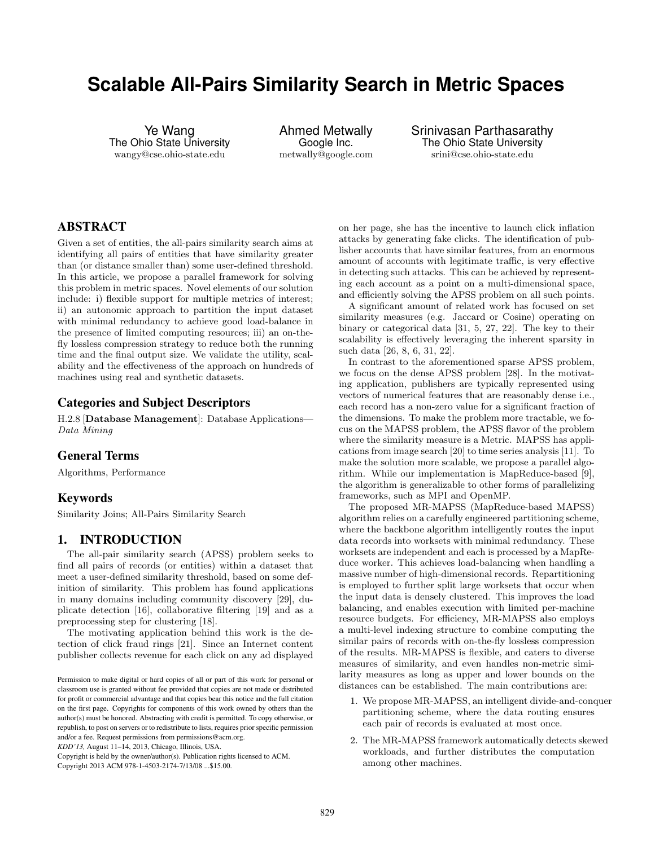# **Scalable All-Pairs Similarity Search in Metric Spaces**

Ye Wang The Ohio State University wangy@cse.ohio-state.edu

Ahmed Metwally Google Inc. metwally@google.com Srinivasan Parthasarathy The Ohio State University srini@cse.ohio-state.edu

### **ABSTRACT**

Given a set of entities, the all-pairs similarity search aims at identifying all pairs of entities that have similarity greater than (or distance smaller than) some user-defined threshold. In this article, we propose a parallel framework for solving this problem in metric spaces. Novel elements of our solution include: i) flexible support for multiple metrics of interest; ii) an autonomic approach to partition the input dataset with minimal redundancy to achieve good load-balance in the presence of limited computing resources; iii) an on-thefly lossless compression strategy to reduce both the running time and the final output size. We validate the utility, scalability and the effectiveness of the approach on hundreds of machines using real and synthetic datasets.

### **Categories and Subject Descriptors**

H.2.8 [Database Management]: Database Applications— *Data Mining*

### **General Terms**

Algorithms, Performance

### **Keywords**

Similarity Joins; All-Pairs Similarity Search

### **1. INTRODUCTION**

The all-pair similarity search (APSS) problem seeks to find all pairs of records (or entities) within a dataset that meet a user-defined similarity threshold, based on some definition of similarity. This problem has found applications in many domains including community discovery [29], duplicate detection [16], collaborative filtering [19] and as a preprocessing step for clustering [18].

The motivating application behind this work is the detection of click fraud rings [21]. Since an Internet content publisher collects revenue for each click on any ad displayed

*KDD'13,* August 11–14, 2013, Chicago, Illinois, USA.

on her page, she has the incentive to launch click inflation attacks by generating fake clicks. The identification of publisher accounts that have similar features, from an enormous amount of accounts with legitimate traffic, is very effective in detecting such attacks. This can be achieved by representing each account as a point on a multi-dimensional space, and efficiently solving the APSS problem on all such points.

A significant amount of related work has focused on set similarity measures (e.g. Jaccard or Cosine) operating on binary or categorical data [31, 5, 27, 22]. The key to their scalability is effectively leveraging the inherent sparsity in such data [26, 8, 6, 31, 22].

In contrast to the aforementioned sparse APSS problem, we focus on the dense APSS problem [28]. In the motivating application, publishers are typically represented using vectors of numerical features that are reasonably dense i.e., each record has a non-zero value for a significant fraction of the dimensions. To make the problem more tractable, we focus on the MAPSS problem, the APSS flavor of the problem where the similarity measure is a Metric. MAPSS has applications from image search [20] to time series analysis [11]. To make the solution more scalable, we propose a parallel algorithm. While our implementation is MapReduce-based [9], the algorithm is generalizable to other forms of parallelizing frameworks, such as MPI and OpenMP.

The proposed MR-MAPSS (MapReduce-based MAPSS) algorithm relies on a carefully engineered partitioning scheme, where the backbone algorithm intelligently routes the input data records into worksets with minimal redundancy. These worksets are independent and each is processed by a MapReduce worker. This achieves load-balancing when handling a massive number of high-dimensional records. Repartitioning is employed to further split large worksets that occur when the input data is densely clustered. This improves the load balancing, and enables execution with limited per-machine resource budgets. For efficiency, MR-MAPSS also employs a multi-level indexing structure to combine computing the similar pairs of records with on-the-fly lossless compression of the results. MR-MAPSS is flexible, and caters to diverse measures of similarity, and even handles non-metric similarity measures as long as upper and lower bounds on the distances can be established. The main contributions are:

- 1. We propose MR-MAPSS, an intelligent divide-and-conquer partitioning scheme, where the data routing ensures each pair of records is evaluated at most once.
- 2. The MR-MAPSS framework automatically detects skewed workloads, and further distributes the computation among other machines.

Permission to make digital or hard copies of all or part of this work for personal or classroom use is granted without fee provided that copies are not made or distributed for profit or commercial advantage and that copies bear this notice and the full citation on the first page. Copyrights for components of this work owned by others than the author(s) must be honored. Abstracting with credit is permitted. To copy otherwise, or republish, to post on servers or to redistribute to lists, requires prior specific permission and/or a fee. Request permissions from permissions@acm.org.

Copyright is held by the owner/author(s). Publication rights licensed to ACM. Copyright 2013 ACM 978-1-4503-2174-7/13/08 ...\$15.00.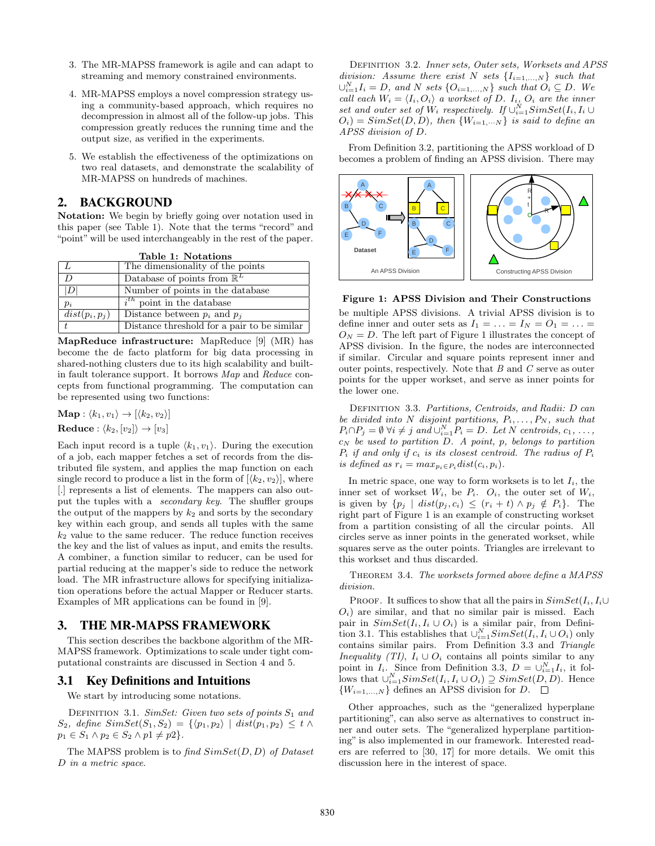- 3. The MR-MAPSS framework is agile and can adapt to streaming and memory constrained environments.
- 4. MR-MAPSS employs a novel compression strategy using a community-based approach, which requires no decompression in almost all of the follow-up jobs. This compression greatly reduces the running time and the output size, as verified in the experiments.
- 5. We establish the effectiveness of the optimizations on two real datasets, and demonstrate the scalability of MR-MAPSS on hundreds of machines.

### **2. BACKGROUND**

Notation: We begin by briefly going over notation used in this paper (see Table 1). Note that the terms "record" and "point" will be used interchangeably in the rest of the paper.

| Table 1: Notations |                                             |  |  |
|--------------------|---------------------------------------------|--|--|
| ΙL                 | The dimensionality of the points            |  |  |
| $\overline{D}$     | Database of points from $\mathbb{R}^L$      |  |  |
| $\vert D \vert$    | Number of points in the database            |  |  |
| $p_i$              | $i^{th}$ point in the database              |  |  |
| $dist(p_i, p_j)$   | Distance between $p_i$ and $p_j$            |  |  |
|                    | Distance threshold for a pair to be similar |  |  |

MapReduce infrastructure: MapReduce [9] (MR) has become the de facto platform for big data processing in shared-nothing clusters due to its high scalability and builtin fault tolerance support. It borrows *Map* and *Reduce* concepts from functional programming. The computation can be represented using two functions:

 $\mathbf{Map}: \langle k_1, v_1 \rangle \rightarrow [\langle k_2, v_2 \rangle]$ Reduce :  $\langle k_2, [v_2] \rangle \rightarrow [v_3]$ 

Each input record is a tuple  $\langle k_1, v_1 \rangle$ . During the execution of a job, each mapper fetches a set of records from the distributed file system, and applies the map function on each single record to produce a list in the form of  $\vert \langle k_2, v_2 \rangle \vert$ , where [.] represents a list of elements. The mappers can also output the tuples with a *secondary key*. The shuffler groups the output of the mappers by  $k_2$  and sorts by the secondary key within each group, and sends all tuples with the same  $k_2$  value to the same reducer. The reduce function receives the key and the list of values as input, and emits the results. A combiner, a function similar to reducer, can be used for partial reducing at the mapper's side to reduce the network load. The MR infrastructure allows for specifying initialization operations before the actual Mapper or Reducer starts. Examples of MR applications can be found in [9].

## **3. THE MR-MAPSS FRAMEWORK**

This section describes the backbone algorithm of the MR-MAPSS framework. Optimizations to scale under tight computational constraints are discussed in Section 4 and 5.

### **3.1 Key Definitions and Intuitions**

We start by introducing some notations.

DEFINITION 3.1. *SimSet: Given two sets of points*  $S_1$  *and*  $S_2$ , define  $SimSet(S_1, S_2) = \{ \langle p_1, p_2 \rangle \mid dist(p_1, p_2) \leq t \wedge$  $p_1 \in S_1 \land p_2 \in S_2 \land p_1 \neq p_2$ .

The MAPSS problem is to *find* SimSet(D, D) *of Dataset* D *in a metric space*.

Definition 3.2. *Inner sets, Outer sets, Worksets and APSS division:* Assume there exist N sets  $\{I_{i=1,...,N}\}$  such that  $\cup_{i=1}^{N} I_i = D$ , and N sets  $\{O_{i=1,...,N}\}\$  *such that*  $O_i \subseteq D$ . We *call each*  $W_i = \langle I_i, O_i \rangle$  *a workset of* D.  $I_i$ ,  $O_i$  *are the inner*  $set$  and outer set of  $W_i$  respectively. If  $\cup_{i=1}^N SimSet(I_i, I_i \cup I_i)$  $O_i$ ) = SimSet(D, D), then  ${W_{i=1,\cdots N}}$  *is said to define an APSS division of* D*.*

From Definition 3.2, partitioning the APSS workload of D becomes a problem of finding an APSS division. There may



Figure 1: APSS Division and Their Constructions be multiple APSS divisions. A trivial APSS division is to define inner and outer sets as  $I_1 = \ldots = I_N = O_1 = \ldots =$  $O<sub>N</sub> = D$ . The left part of Figure 1 illustrates the concept of APSS division. In the figure, the nodes are interconnected if similar. Circular and square points represent inner and outer points, respectively. Note that *B* and *C* serve as outer points for the upper workset, and serve as inner points for the lower one.

Definition 3.3. *Partitions, Centroids, and Radii:* D *can be divided into* N *disjoint partitions,* Pi, . . . , P<sup>N</sup> *, such that*  $P_i \cap P_j = \emptyset \ \forall i \neq j \ and \ \cup_{i=1}^N P_i = D.$  Let N centroids,  $c_1, \ldots,$  $c_N$  *be used to partition*  $D$ *. A point, p, belongs to partition*  $P_i$  *if and only if*  $c_i$  *is its closest centroid. The radius of*  $P_i$ *is defined as*  $r_i = max_{p_i \in P_i} dist(c_i, p_i)$ .

In metric space, one way to form worksets is to let  $I_i$ , the inner set of workset  $W_i$ , be  $P_i$ .  $O_i$ , the outer set of  $W_i$ , is given by  $\{p_j \mid dist(p_j, c_i) \leq (r_i + t) \land p_j \notin P_i\}.$  The right part of Figure 1 is an example of constructing workset from a partition consisting of all the circular points. All circles serve as inner points in the generated workset, while squares serve as the outer points. Triangles are irrelevant to this workset and thus discarded.

Theorem 3.4. *The worksets formed above define a MAPSS division.*

PROOF. It suffices to show that all the pairs in  $SimSet(I_i, I_i \cup$  $O_i$ ) are similar, and that no similar pair is missed. Each pair in  $SimSet(I_i, I_i \cup O_i)$  is a similar pair, from Definition 3.1. This establishes that  $\cup_{i=1}^{N} SimSet(I_i, I_i \cup O_i)$  only contains similar pairs. From Definition 3.3 and *Triangle Inequality (TI)*,  $I_i \cup O_i$  contains all points similar to any point in  $I_i$ . Since from Definition 3.3,  $D = \bigcup_{i=1}^{N} I_i$ , it follows that  $\bigcup_{i=1}^{N} SimSet(I_i, I_i \cup O_i) \supseteq SimSet(D, D)$ . Hence  ${W_{i=1,...,N}}$  defines an APSS division for D.  $\Box$ 

Other approaches, such as the "generalized hyperplane partitioning", can also serve as alternatives to construct inner and outer sets. The "generalized hyperplane partitioning" is also implemented in our framework. Interested readers are referred to [30, 17] for more details. We omit this discussion here in the interest of space.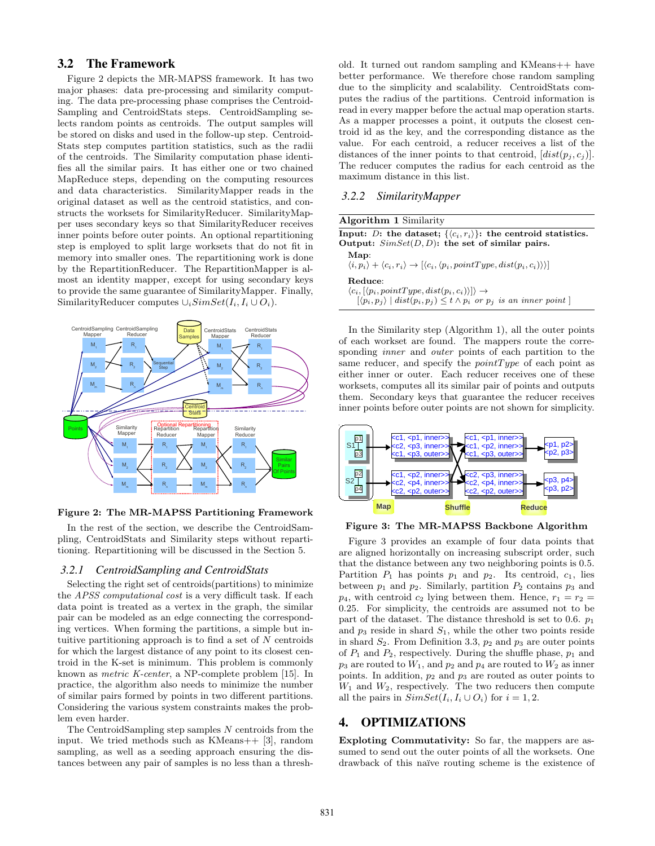### **3.2 The Framework**

Figure 2 depicts the MR-MAPSS framework. It has two major phases: data pre-processing and similarity computing. The data pre-processing phase comprises the Centroid-Sampling and CentroidStats steps. CentroidSampling selects random points as centroids. The output samples will be stored on disks and used in the follow-up step. Centroid-Stats step computes partition statistics, such as the radii of the centroids. The Similarity computation phase identifies all the similar pairs. It has either one or two chained MapReduce steps, depending on the computing resources and data characteristics. SimilarityMapper reads in the original dataset as well as the centroid statistics, and constructs the worksets for SimilarityReducer. SimilarityMapper uses secondary keys so that SimilarityReducer receives inner points before outer points. An optional repartitioning step is employed to split large worksets that do not fit in memory into smaller ones. The repartitioning work is done by the RepartitionReducer. The RepartitionMapper is almost an identity mapper, except for using secondary keys to provide the same guarantee of SimilarityMapper. Finally, SimilarityReducer computes  $\cup_i SimSet(I_i, I_i \cup O_i)$ .



#### Figure 2: The MR-MAPSS Partitioning Framework

In the rest of the section, we describe the CentroidSampling, CentroidStats and Similarity steps without repartitioning. Repartitioning will be discussed in the Section 5.

#### *3.2.1 CentroidSampling and CentroidStats*

Selecting the right set of centroids(partitions) to minimize the *APSS computational cost* is a very difficult task. If each data point is treated as a vertex in the graph, the similar pair can be modeled as an edge connecting the corresponding vertices. When forming the partitions, a simple but intuitive partitioning approach is to find a set of  $N$  centroids for which the largest distance of any point to its closest centroid in the K-set is minimum. This problem is commonly known as *metric K-center*, a NP-complete problem [15]. In practice, the algorithm also needs to minimize the number of similar pairs formed by points in two different partitions. Considering the various system constraints makes the problem even harder.

The CentroidSampling step samples N centroids from the input. We tried methods such as KMeans++ [3], random sampling, as well as a seeding approach ensuring the distances between any pair of samples is no less than a threshold. It turned out random sampling and KMeans++ have better performance. We therefore chose random sampling due to the simplicity and scalability. CentroidStats computes the radius of the partitions. Centroid information is read in every mapper before the actual map operation starts. As a mapper processes a point, it outputs the closest centroid id as the key, and the corresponding distance as the value. For each centroid, a reducer receives a list of the distances of the inner points to that centroid,  $[dist(p_i, c_i)]$ . The reducer computes the radius for each centroid as the maximum distance in this list.

#### *3.2.2 SimilarityMapper*

| <b>Algorithm 1 Similarity</b>                                                                                                                                                                                   |
|-----------------------------------------------------------------------------------------------------------------------------------------------------------------------------------------------------------------|
| Input: D: the dataset; $\{\langle c_i, r_i \rangle\}$ : the centroid statistics.<br>Output: $SimSet(D, D)$ : the set of similar pairs.                                                                          |
| Map:<br>$\langle i, p_i \rangle + \langle c_i, r_i \rangle \rightarrow [\langle c_i, \langle p_i, pointType, dist(p_i, c_i) \rangle]$                                                                           |
| Reduce:<br>$\langle c_i, [\langle p_i, pointType, dist(p_i, c_i) \rangle] \rangle \rightarrow$<br>$[\langle p_i, p_j \rangle \mid dist(p_i, p_j) \leq t \land p_i \text{ or } p_j \text{ is an inner point } ]$ |

In the Similarity step (Algorithm 1), all the outer points of each workset are found. The mappers route the corresponding *inner* and *outer* points of each partition to the same reducer, and specify the  $pointType$  of each point as either inner or outer. Each reducer receives one of these worksets, computes all its similar pair of points and outputs them. Secondary keys that guarantee the reducer receives inner points before outer points are not shown for simplicity.



Figure 3: The MR-MAPSS Backbone Algorithm

Figure 3 provides an example of four data points that are aligned horizontally on increasing subscript order, such that the distance between any two neighboring points is 0.5. Partition  $P_1$  has points  $p_1$  and  $p_2$ . Its centroid,  $c_1$ , lies between  $p_1$  and  $p_2$ . Similarly, partition  $P_2$  contains  $p_3$  and  $p_4$ , with centroid  $c_2$  lying between them. Hence,  $r_1 = r_2$ 0.25. For simplicity, the centroids are assumed not to be part of the dataset. The distance threshold is set to 0.6.  $p_1$ and  $p_3$  reside in shard  $S_1$ , while the other two points reside in shard  $S_2$ . From Definition 3.3,  $p_2$  and  $p_3$  are outer points of  $P_1$  and  $P_2$ , respectively. During the shuffle phase,  $p_1$  and  $p_3$  are routed to  $W_1$ , and  $p_2$  and  $p_4$  are routed to  $W_2$  as inner points. In addition,  $p_2$  and  $p_3$  are routed as outer points to  $W_1$  and  $W_2$ , respectively. The two reducers then compute all the pairs in  $SimSet(I_i, I_i \cup O_i)$  for  $i = 1, 2$ .

### **4. OPTIMIZATIONS**

Exploting Commutativity: So far, the mappers are assumed to send out the outer points of all the worksets. One drawback of this na¨ıve routing scheme is the existence of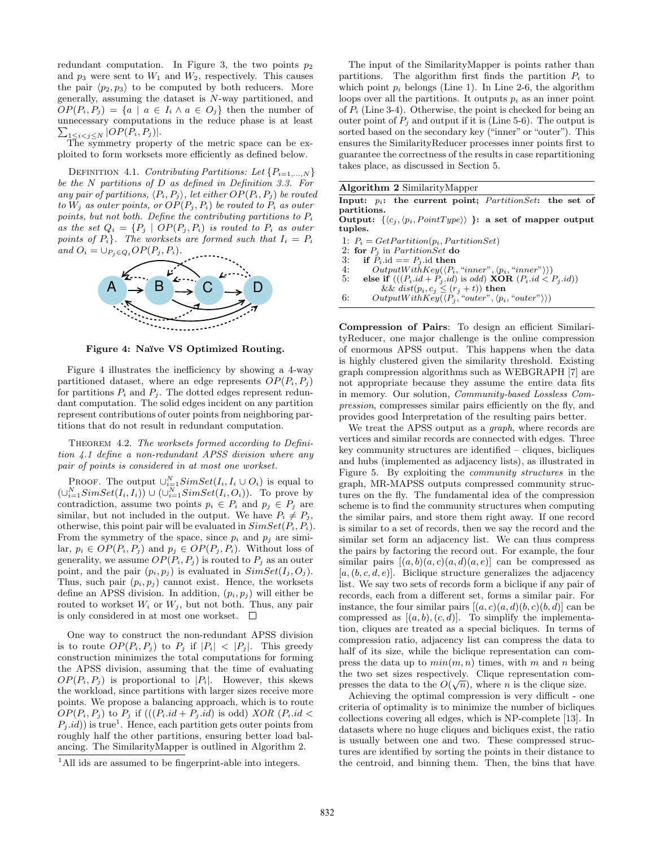redundant computation. In Figure 3, the two points  $p_2$ and  $p_3$  were sent to  $W_1$  and  $W_2$ , respectively. This causes the pair  $\langle p_2, p_3 \rangle$  to be computed by both reducers. More generally, assuming the dataset is N-way partitioned, and  $OP(P_i, P_j) = \{a \mid a \in I_i \land a \in O_j\}$  then the number of unnecessary computations in the reduce phase is at least  $\sum_{1\leq i < j \leq N} |OP(P_i, P_j)|.$ 

The symmetry property of the metric space can be exploited to form worksets more efficiently as defined below.

DEFINITION 4.1. *Contributing Partitions: Let*  $\{P_{i=1,...,N}\}$ *be the* N *partitions of* D *as defined in Definition 3.3. For any pair of partitions,*  $\langle P_i, P_j \rangle$ *, let either*  $OP(P_i, P_j)$  *be routed to*  $W_j$  *as outer points, or*  $OP(P_j, P_i)$  *be routed to*  $P_i$  *as outer points, but not both. Define the contributing partitions to* P<sup>i</sup> as the set  $Q_i = \{P_j \mid OP(P_j, P_i)$  *is routed to*  $P_i$  *as outer points of*  $P_i$ *}. The worksets are formed such that*  $I_i = P_i$  $and$   $O_i = \bigcup_{P_i \in Q_i} OP(P_j, P_i).$ 



Figure 4: Naïve VS Optimized Routing.

Figure 4 illustrates the inefficiency by showing a 4-way partitioned dataset, where an edge represents  $OP(P_i, P_j)$ for partitions  $P_i$  and  $P_j$ . The dotted edges represent redundant computation. The solid edges incident on any partition represent contributions of outer points from neighboring partitions that do not result in redundant computation.

Theorem 4.2. *The worksets formed according to Definition 4.1 define a non-redundant APSS division where any pair of points is considered in at most one workset.*

PROOF. The output  $\bigcup_{i=1}^N SimSet(I_i, I_i \cup O_i)$  is equal to  $(\cup_{i=1}^N \mathit{SimSet}(I_i, I_i)) \cup (\cup_{i=1}^N \mathit{SimSet}(I_i, O_i)).$  To prove by contradiction, assume two points  $p_i \in P_i$  and  $p_j \in P_j$  are similar, but not included in the output. We have  $P_i \neq P_j$ , otherwise, this point pair will be evaluated in  $SimSet(P_i, P_i)$ . From the symmetry of the space, since  $p_i$  and  $p_j$  are similar,  $p_i \in OP(P_i, P_j)$  and  $p_j \in OP(P_j, P_i)$ . Without loss of generality, we assume  $OP(P_i, P_j)$  is routed to  $P_j$  as an outer point, and the pair  $(p_i, p_j)$  is evaluated in  $SimSet(I_i, O_j)$ . Thus, such pair  $(p_i, p_j)$  cannot exist. Hence, the worksets define an APSS division. In addition,  $(p_i, p_j)$  will either be routed to workset  $W_i$  or  $W_j$ , but not both. Thus, any pair is only considered in at most one workset.  $\Box$ 

One way to construct the non-redundant APSS division is to route  $OP(P_i, P_j)$  to  $P_j$  if  $|P_i| < |P_j|$ . This greedy construction minimizes the total computations for forming the APSS division, assuming that the time of evaluating  $OP(P_i, P_j)$  is proportional to  $|P_i|$ . However, this skews the workload, since partitions with larger sizes receive more points. We propose a balancing approach, which is to route  $OP(P_i, P_j)$  to  $P_j$  if  $(((P_i.id + P_j.id)$  is odd)  $XOR$   $(P_i.id <$  $(P_j.id))$  is true<sup>1</sup>. Hence, each partition gets outer points from roughly half the other partitions, ensuring better load balancing. The SimilarityMapper is outlined in Algorithm 2.

The input of the SimilarityMapper is points rather than partitions. The algorithm first finds the partition  $P_i$  to which point  $p_i$  belongs (Line 1). In Line 2-6, the algorithm loops over all the partitions. It outputs  $p_i$  as an inner point of  $P_i$  (Line 3-4). Otherwise, the point is checked for being an outer point of  $P_i$  and output if it is (Line 5-6). The output is sorted based on the secondary key ("inner" or "outer"). This ensures the SimilarityReducer processes inner points first to guarantee the correctness of the results in case repartitioning takes place, as discussed in Section 5.

Algorithm 2 SimilarityMapper

Input:  $p_i$ : the current point; *PartitionSet*: the set of partitions.

Output:  $\{\langle c_i, \langle p_i, PointType \rangle \rangle\}$ : a set of mapper output tuples.

- 1:  $P_i = GetPartition(p_i, PartitionSet)$
- 2: for  $P_j$  in PartitionSet do
- 3: if  $P_i$ .id ==  $P_j$ .id then
- 4: OutputWithKey( $\langle P_i, \text{``inner''}, \langle p_i, \text{``inner''} \rangle \rangle$ )<br>5: else if  $((P_i.id + P_i.id)$  is *odd*) **XOR**  $(P_i.id < i)$
- 5: else if  $(((P_i.id + P_j.id)$  is odd) XOR  $(P_i.id < P_j.id)$
- &&  $dist(p_i, c_j \leq (r_j + t))$  then 6: OutputWithKey $(\langle P_j, "outer", \langle p_i, "outer"\rangle)\rangle$

Compression of Pairs: To design an efficient SimilarityReducer, one major challenge is the online compression of enormous APSS output. This happens when the data is highly clustered given the similarity threshold. Existing graph compression algorithms such as WEBGRAPH [7] are not appropriate because they assume the entire data fits in memory. Our solution, *Community-based Lossless Compression*, compresses similar pairs efficiently on the fly, and provides good Interpretation of the resulting pairs better.

We treat the APSS output as a *graph*, where records are vertices and similar records are connected with edges. Three key community structures are identified – cliques, bicliques and hubs (implemented as adjacency lists), as illustrated in Figure 5. By exploiting the *community structures* in the graph, MR-MAPSS outputs compressed community structures on the fly. The fundamental idea of the compression scheme is to find the community structures when computing the similar pairs, and store them right away. If one record is similar to a set of records, then we say the record and the similar set form an adjacency list. We can thus compress the pairs by factoring the record out. For example, the four similar pairs  $[(a, b)(a, c)(a, d)(a, e)]$  can be compressed as  $[a, (b, c, d, e)]$ . Biclique structure generalizes the adjacency list. We say two sets of records form a biclique if any pair of records, each from a different set, forms a similar pair. For instance, the four similar pairs  $[(a, c)(a, d)(b, c)(b, d)]$  can be compressed as  $[(a, b), (c, d)]$ . To simplify the implementation, cliques are treated as a special bicliques. In terms of compression ratio, adjacency list can compress the data to half of its size, while the biclique representation can compress the data up to  $min(m, n)$  times, with m and n being the two set sizes respectively. Clique representation compresses the data to the  $O(\sqrt{n})$ , where *n* is the clique size.

Achieving the optimal compression is very difficult - one criteria of optimality is to minimize the number of bicliques collections covering all edges, which is NP-complete [13]. In datasets where no huge cliques and bicliques exist, the ratio is usually between one and two. These compressed structures are identified by sorting the points in their distance to the centroid, and binning them. Then, the bins that have

<sup>&</sup>lt;sup>1</sup>All ids are assumed to be fingerprint-able into integers.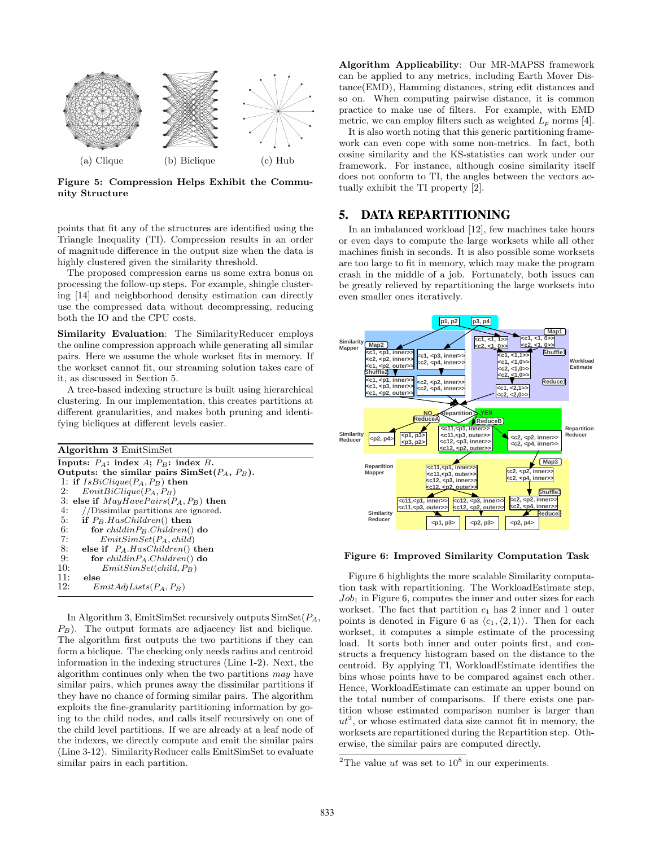

Figure 5: Compression Helps Exhibit the Community Structure

points that fit any of the structures are identified using the Triangle Inequality (TI). Compression results in an order of magnitude difference in the output size when the data is highly clustered given the similarity threshold.

The proposed compression earns us some extra bonus on processing the follow-up steps. For example, shingle clustering [14] and neighborhood density estimation can directly use the compressed data without decompressing, reducing both the IO and the CPU costs.

Similarity Evaluation: The SimilarityReducer employs the online compression approach while generating all similar pairs. Here we assume the whole workset fits in memory. If the workset cannot fit, our streaming solution takes care of it, as discussed in Section 5.

A tree-based indexing structure is built using hierarchical clustering. In our implementation, this creates partitions at different granularities, and makes both pruning and identifying bicliques at different levels easier.

| <b>Algorithm 3</b> EmitSimSet                          |  |  |  |  |
|--------------------------------------------------------|--|--|--|--|
| Inputs: $P_A$ : index A; $P_B$ : index B.              |  |  |  |  |
| Outputs: the similar pairs $\text{SimSet}(P_A, P_B)$ . |  |  |  |  |
| 1: if $IsBiClique(P_A, P_B)$ then                      |  |  |  |  |
| $EmitBiClique(P_A, P_B)$<br>2:                         |  |  |  |  |
| 3: else if $MayHavePairs(P_A, P_B)$ then               |  |  |  |  |
| 4:<br>//Dissimilar partitions are ignored.             |  |  |  |  |
| 5:<br>if $P_B.HasChildren()$ then                      |  |  |  |  |
| 6:<br>for childin $P_B$ . Children() do                |  |  |  |  |
| 7:<br>$EmitSimSet(P_A, child)$                         |  |  |  |  |
| 8:<br>else if $P_A.HasChildren()$ then                 |  |  |  |  |
| 9:<br>for $children_{A}.Children()$ do                 |  |  |  |  |
| 10:<br>$EmitSimSet(child, P_B)$                        |  |  |  |  |
| 11:<br>else                                            |  |  |  |  |
| 12:<br>$EmitAdjLists(P_A, P_B)$                        |  |  |  |  |
|                                                        |  |  |  |  |

In Algorithm 3, EmitSimSet recursively outputs  $\text{SimSet}(P_A)$  $P_B$ ). The output formats are adjacency list and biclique. The algorithm first outputs the two partitions if they can form a biclique. The checking only needs radius and centroid information in the indexing structures (Line 1-2). Next, the algorithm continues only when the two partitions *may* have similar pairs, which prunes away the dissimilar partitions if they have no chance of forming similar pairs. The algorithm exploits the fine-granularity partitioning information by going to the child nodes, and calls itself recursively on one of the child level partitions. If we are already at a leaf node of the indexes, we directly compute and emit the similar pairs (Line 3-12). SimilarityReducer calls EmitSimSet to evaluate similar pairs in each partition.

Algorithm Applicability: Our MR-MAPSS framework can be applied to any metrics, including Earth Mover Distance(EMD), Hamming distances, string edit distances and so on. When computing pairwise distance, it is common practice to make use of filters. For example, with EMD metric, we can employ filters such as weighted  $L_p$  norms [4].

It is also worth noting that this generic partitioning framework can even cope with some non-metrics. In fact, both cosine similarity and the KS-statistics can work under our framework. For instance, although cosine similarity itself does not conform to TI, the angles between the vectors actually exhibit the TI property [2].

### **5. DATA REPARTITIONING**

In an imbalanced workload [12], few machines take hours or even days to compute the large worksets while all other machines finish in seconds. It is also possible some worksets are too large to fit in memory, which may make the program crash in the middle of a job. Fortunately, both issues can be greatly relieved by repartitioning the large worksets into even smaller ones iteratively.



#### Figure 6: Improved Similarity Computation Task

Figure 6 highlights the more scalable Similarity computation task with repartitioning. The WorkloadEstimate step,  $Job_1$  in Figure 6, computes the inner and outer sizes for each workset. The fact that partition  $c_1$  has 2 inner and 1 outer points is denoted in Figure 6 as  $\langle c_1, \langle 2, 1 \rangle$ . Then for each workset, it computes a simple estimate of the processing load. It sorts both inner and outer points first, and constructs a frequency histogram based on the distance to the centroid. By applying TI, WorkloadEstimate identifies the bins whose points have to be compared against each other. Hence, WorkloadEstimate can estimate an upper bound on the total number of comparisons. If there exists one partition whose estimated comparison number is larger than  $ut^2$ , or whose estimated data size cannot fit in memory, the worksets are repartitioned during the Repartition step. Otherwise, the similar pairs are computed directly.

<sup>&</sup>lt;sup>2</sup>The value ut was set to  $10^8$  in our experiments.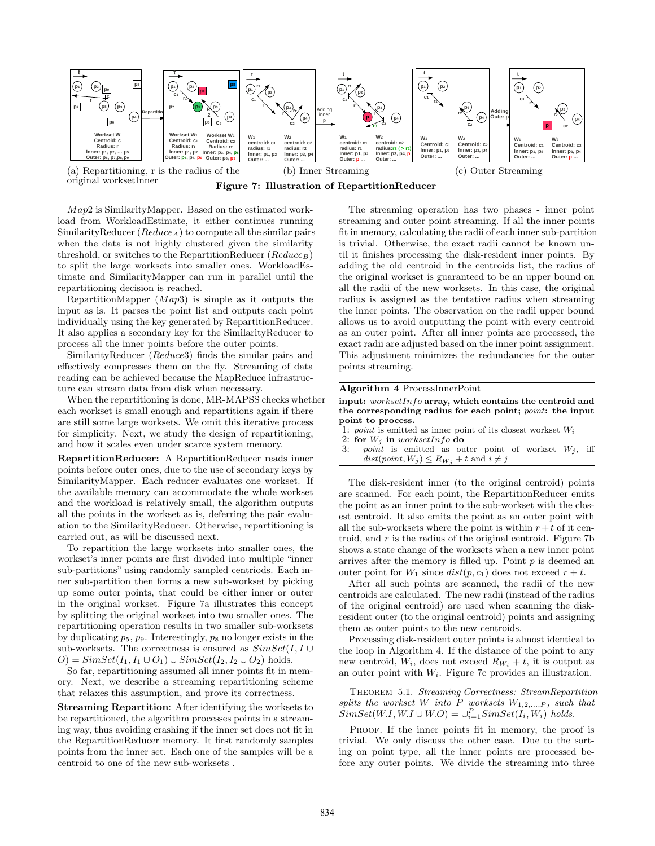

Figure 7: Illustration of RepartitionReducer

 $Map2$  is SimilarityMapper. Based on the estimated workload from WorkloadEstimate, it either continues running SimilarityReducer  $(Reduce_A)$  to compute all the similar pairs when the data is not highly clustered given the similarity threshold, or switches to the RepartitionReducer ( $Reduce_B$ ) to split the large worksets into smaller ones. WorkloadEstimate and SimilarityMapper can run in parallel until the repartitioning decision is reached.

RepartitionMapper  $(Map3)$  is simple as it outputs the input as is. It parses the point list and outputs each point individually using the key generated by RepartitionReducer. It also applies a secondary key for the SimilarityReducer to process all the inner points before the outer points.

SimilarityReducer (Reduce3) finds the similar pairs and effectively compresses them on the fly. Streaming of data reading can be achieved because the MapReduce infrastructure can stream data from disk when necessary.

When the repartitioning is done, MR-MAPSS checks whether each workset is small enough and repartitions again if there are still some large worksets. We omit this iterative process for simplicity. Next, we study the design of repartitioning, and how it scales even under scarce system memory.

RepartitionReducer: A RepartitionReducer reads inner points before outer ones, due to the use of secondary keys by SimilarityMapper. Each reducer evaluates one workset. If the available memory can accommodate the whole workset and the workload is relatively small, the algorithm outputs all the points in the workset as is, deferring the pair evaluation to the SimilarityReducer. Otherwise, repartitioning is carried out, as will be discussed next.

To repartition the large worksets into smaller ones, the workset's inner points are first divided into multiple "inner sub-partitions" using randomly sampled centriods. Each inner sub-partition then forms a new sub-workset by picking up some outer points, that could be either inner or outer in the original workset. Figure 7a illustrates this concept by splitting the original workset into two smaller ones. The repartitioning operation results in two smaller sub-worksets by duplicating  $p_5$ ,  $p_9$ . Interestingly,  $p_8$  no longer exists in the sub-worksets. The correctness is ensured as  $SimSet(I, I \cup I)$  $O$ ) =  $SimSet(I_1, I_1 \cup O_1) \cup SimSet(I_2, I_2 \cup O_2)$  holds.

So far, repartitioning assumed all inner points fit in memory. Next, we describe a streaming repartitioning scheme that relaxes this assumption, and prove its correctness.

Streaming Repartition: After identifying the worksets to be repartitioned, the algorithm processes points in a streaming way, thus avoiding crashing if the inner set does not fit in the RepartitionReducer memory. It first randomly samples points from the inner set. Each one of the samples will be a centroid to one of the new sub-worksets .

The streaming operation has two phases - inner point streaming and outer point streaming. If all the inner points fit in memory, calculating the radii of each inner sub-partition is trivial. Otherwise, the exact radii cannot be known until it finishes processing the disk-resident inner points. By adding the old centroid in the centroids list, the radius of the original workset is guaranteed to be an upper bound on all the radii of the new worksets. In this case, the original radius is assigned as the tentative radius when streaming the inner points. The observation on the radii upper bound allows us to avoid outputting the point with every centroid as an outer point. After all inner points are processed, the exact radii are adjusted based on the inner point assignment. This adjustment minimizes the redundancies for the outer points streaming.

#### Algorithm 4 ProcessInnerPoint

input:  $worksetInfo$  array, which contains the centroid and the corresponding radius for each point; point: the input point to process.

- 1: point is emitted as inner point of its closest workset  $W_i$
- 2: for  $W_j$  in worksetInfo do<br>3: *noint* is emitted as our
- point is emitted as outer point of workset  $W_i$ , iff  $dist(point, W_j) \le R_{W_j} + t$  and  $i \ne j$

The disk-resident inner (to the original centroid) points are scanned. For each point, the RepartitionReducer emits the point as an inner point to the sub-workset with the closest centroid. It also emits the point as an outer point with all the sub-worksets where the point is within  $r + t$  of it centroid, and  $r$  is the radius of the original centroid. Figure  $7b$ shows a state change of the worksets when a new inner point arrives after the memory is filled up. Point  $p$  is deemed an outer point for  $W_1$  since  $dist(p, c_1)$  does not exceed  $r + t$ .

After all such points are scanned, the radii of the new centroids are calculated. The new radii (instead of the radius of the original centroid) are used when scanning the diskresident outer (to the original centroid) points and assigning them as outer points to the new centroids.

Processing disk-resident outer points is almost identical to the loop in Algorithm 4. If the distance of the point to any new centroid,  $W_i$ , does not exceed  $R_{W_i} + t$ , it is output as an outer point with  $W_i$ . Figure 7c provides an illustration.

Theorem 5.1. *Streaming Correctness: StreamRepartition splits the workset* W *into* P *worksets*  $W_{1,2,...,P}$ *, such that*  $SimSet(W.I, W.I \cup W.O) = \bigcup_{i=1}^{P} SimSet(I_i, W_i) \ holds.$ 

PROOF. If the inner points fit in memory, the proof is trivial. We only discuss the other case. Due to the sorting on point type, all the inner points are processed before any outer points. We divide the streaming into three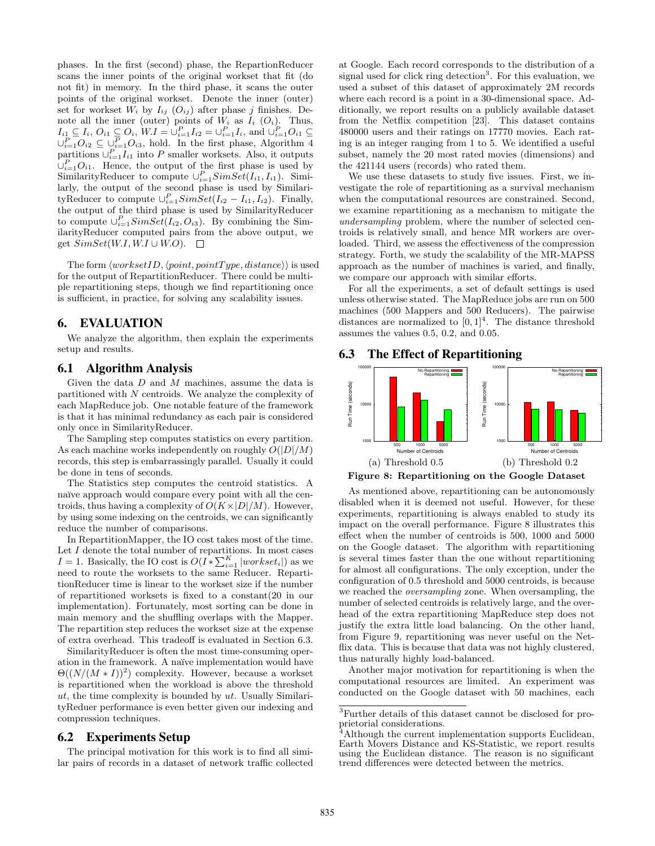phases. In the first (second) phase, the RepartionReducer scans the inner points of the original workset that fit (do not fit) in memory. In the third phase, it scans the outer points of the original workset. Denote the inner (outer) set for workset  $W_i$  by  $I_{ij}$   $(O_{ij})$  after phase j finishes. Denote all the inner (outer) points of  $W_i$  as  $I_i$  ( $O_i$ ). Thus,  $I_{i_1} \subseteq I_i, O_{i_1} \subseteq O_i, W.I = \cup_{i=1}^P I_{i_2} = \cup_{i=1}^P I_i, \text{ and } \cup_{i=1}^P O_{i_1} \subseteq I_i$  $\cup_{i=1}^{P} O_{i2} \subseteq \bigcup_{i=1}^{P} O_{i3}$ , hold. In the first phase, Algorithm 4 partitions  $\bigcup_{i=1}^{P} I_{i1}$  into P smaller worksets. Also, it outputs  $\cup_{i=1}^P O_{i1}$ . Hence, the output of the first phase is used by SimilarityReducer to compute  $\cup_{i=1}^{P} SimSet(I_{i1}, I_{i1})$ . Similarly, the output of the second phase is used by SimilarityReducer to compute  $\cup_{i=1}^{P} SimSet(I_{i2} - I_{i1}, I_{i2})$ . Finally, the output of the third phase is used by SimilarityReducer to compute  $\cup_{i=1}^{P} SimSet(I_{i2}, O_{i3})$ . By combining the SimilarityReducer computed pairs from the above output, we get  $SimSet(W.I, W.I ∪ W.O)$ . □

The form  $\langle workerID, \langle point, pointType, distance \rangle$  is used for the output of RepartitionReducer. There could be multiple repartitioning steps, though we find repartitioning once is sufficient, in practice, for solving any scalability issues.

### **6. EVALUATION**

We analyze the algorithm, then explain the experiments setup and results.

### **6.1 Algorithm Analysis**

Given the data  $D$  and  $M$  machines, assume the data is partitioned with N centroids. We analyze the complexity of each MapReduce job. One notable feature of the framework is that it has minimal redundancy as each pair is considered only once in SimilarityReducer.

The Sampling step computes statistics on every partition. As each machine works independently on roughly  $O(|D|/M)$ records, this step is embarrassingly parallel. Usually it could be done in tens of seconds.

The Statistics step computes the centroid statistics. A naïve approach would compare every point with all the centroids, thus having a complexity of  $O(K \times |D|/M)$ . However, by using some indexing on the centroids, we can significantly reduce the number of comparisons.

In RepartitionMapper, the IO cost takes most of the time. Let  $I$  denote the total number of repartitions. In most cases I = 1. Basically, the IO cost is  $O(I * \sum_{i=1}^{K} |workset_i|)$  as we need to route the worksets to the same Reducer. RepartitionReducer time is linear to the workset size if the number of repartitioned worksets is fixed to a constant(20 in our implementation). Fortunately, most sorting can be done in main memory and the shuffling overlaps with the Mapper. The repartition step reduces the workset size at the expense of extra overhead. This tradeoff is evaluated in Section 6.3.

SimilarityReducer is often the most time-consuming operation in the framework. A naïve implementation would have  $\Theta((N/(M * I))^2)$  complexity. However, because a workset is repartitioned when the workload is above the threshold ut, the time complexity is bounded by  $ut$ . Usually SimilarityReduer performance is even better given our indexing and compression techniques.

#### **6.2 Experiments Setup**

The principal motivation for this work is to find all similar pairs of records in a dataset of network traffic collected at Google. Each record corresponds to the distribution of a signal used for click ring detection<sup>3</sup>. For this evaluation, we used a subset of this dataset of approximately 2M records where each record is a point in a 30-dimensional space. Additionally, we report results on a publicly available dataset from the Netflix competition [23]. This dataset contains 480000 users and their ratings on 17770 movies. Each rating is an integer ranging from 1 to 5. We identified a useful subset, namely the 20 most rated movies (dimensions) and the 421144 users (records) who rated them.

We use these datasets to study five issues. First, we investigate the role of repartitioning as a survival mechanism when the computational resources are constrained. Second, we examine repartitioning as a mechanism to mitigate the *undersampling* problem, where the number of selected centroids is relatively small, and hence MR workers are overloaded. Third, we assess the effectiveness of the compression strategy. Forth, we study the scalability of the MR-MAPSS approach as the number of machines is varied, and finally, we compare our approach with similar efforts.

For all the experiments, a set of default settings is used unless otherwise stated. The MapReduce jobs are run on 500 machines (500 Mappers and 500 Reducers). The pairwise distances are normalized to  $[0,1]^4$ . The distance threshold assumes the values 0.5, 0.2, and 0.05.

#### **6.3 The Effect of Repartitioning**



Figure 8: Repartitioning on the Google Dataset

As mentioned above, repartitioning can be autonomously disabled when it is deemed not useful. However, for these experiments, repartitioning is always enabled to study its impact on the overall performance. Figure 8 illustrates this effect when the number of centroids is 500, 1000 and 5000 on the Google dataset. The algorithm with repartitioning is several times faster than the one without repartitioning for almost all configurations. The only exception, under the configuration of 0.5 threshold and 5000 centroids, is because we reached the *oversampling* zone. When oversampling, the number of selected centroids is relatively large, and the overhead of the extra repartitioning MapReduce step does not justify the extra little load balancing. On the other hand, from Figure 9, repartitioning was never useful on the Netflix data. This is because that data was not highly clustered, thus naturally highly load-balanced.

Another major motivation for repartitioning is when the computational resources are limited. An experiment was conducted on the Google dataset with 50 machines, each

<sup>3</sup>Further details of this dataset cannot be disclosed for proprietorial considerations.

<sup>4</sup>Although the current implementation supports Euclidean, Earth Movers Distance and KS-Statistic, we report results using the Euclidean distance. The reason is no significant trend differences were detected between the metrics.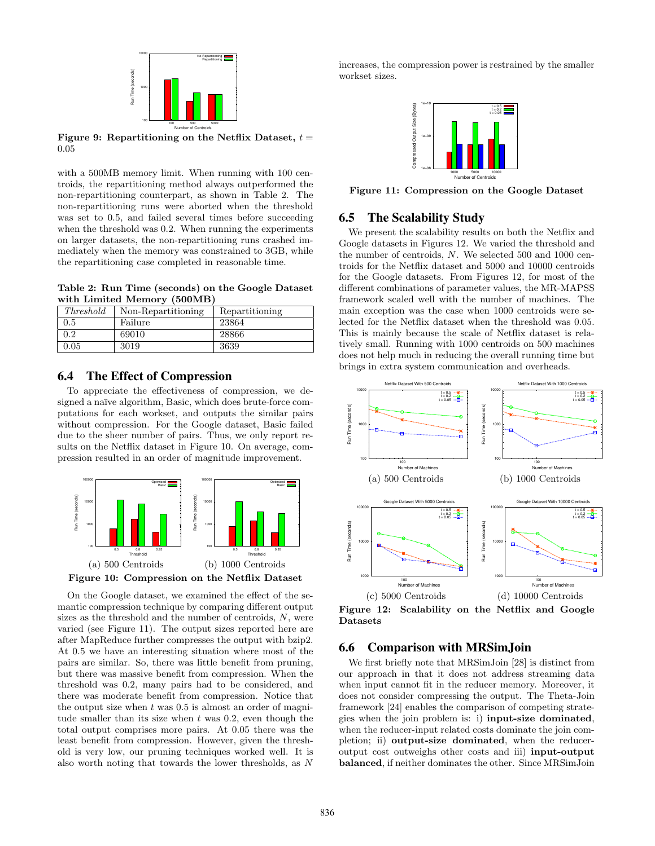

Figure 9: Repartitioning on the Netflix Dataset,  $t =$ 0.05

with a 500MB memory limit. When running with 100 centroids, the repartitioning method always outperformed the non-repartitioning counterpart, as shown in Table 2. The non-repartitioning runs were aborted when the threshold was set to 0.5, and failed several times before succeeding when the threshold was 0.2. When running the experiments on larger datasets, the non-repartitioning runs crashed immediately when the memory was constrained to 3GB, while the repartitioning case completed in reasonable time.

Table 2: Run Time (seconds) on the Google Dataset with Limited Memory (500MB)

| <i>Threshold</i> | Non-Repartitioning | Repartitioning |
|------------------|--------------------|----------------|
| $0.5\,$          | Failure            | 23864          |
| 0.2              | 69010              | 28866          |
| 0.05             | 3019               | 3639           |

### **6.4 The Effect of Compression**

To appreciate the effectiveness of compression, we designed a naïve algorithm, Basic, which does brute-force computations for each workset, and outputs the similar pairs without compression. For the Google dataset, Basic failed due to the sheer number of pairs. Thus, we only report results on the Netflix dataset in Figure 10. On average, compression resulted in an order of magnitude improvement.



On the Google dataset, we examined the effect of the semantic compression technique by comparing different output sizes as the threshold and the number of centroids, N, were varied (see Figure 11). The output sizes reported here are after MapReduce further compresses the output with bzip2. At 0.5 we have an interesting situation where most of the pairs are similar. So, there was little benefit from pruning, but there was massive benefit from compression. When the threshold was 0.2, many pairs had to be considered, and there was moderate benefit from compression. Notice that the output size when  $t$  was 0.5 is almost an order of magnitude smaller than its size when  $t$  was 0.2, even though the total output comprises more pairs. At 0.05 there was the least benefit from compression. However, given the threshold is very low, our pruning techniques worked well. It is also worth noting that towards the lower thresholds, as N

increases, the compression power is restrained by the smaller workset sizes.



Figure 11: Compression on the Google Dataset

### **6.5 The Scalability Study**

We present the scalability results on both the Netflix and Google datasets in Figures 12. We varied the threshold and the number of centroids, N. We selected 500 and 1000 centroids for the Netflix dataset and 5000 and 10000 centroids for the Google datasets. From Figures 12, for most of the different combinations of parameter values, the MR-MAPSS framework scaled well with the number of machines. The main exception was the case when 1000 centroids were selected for the Netflix dataset when the threshold was 0.05. This is mainly because the scale of Netflix dataset is relatively small. Running with 1000 centroids on 500 machines does not help much in reducing the overall running time but brings in extra system communication and overheads.



Figure 12: Scalability on the Netflix and Google Datasets

### **6.6 Comparison with MRSimJoin**

We first briefly note that MRSimJoin [28] is distinct from our approach in that it does not address streaming data when input cannot fit in the reducer memory. Moreover, it does not consider compressing the output. The Theta-Join framework [24] enables the comparison of competing strategies when the join problem is: i) input-size dominated, when the reducer-input related costs dominate the join completion; ii) output-size dominated, when the reduceroutput cost outweighs other costs and iii) input-output balanced, if neither dominates the other. Since MRSimJoin